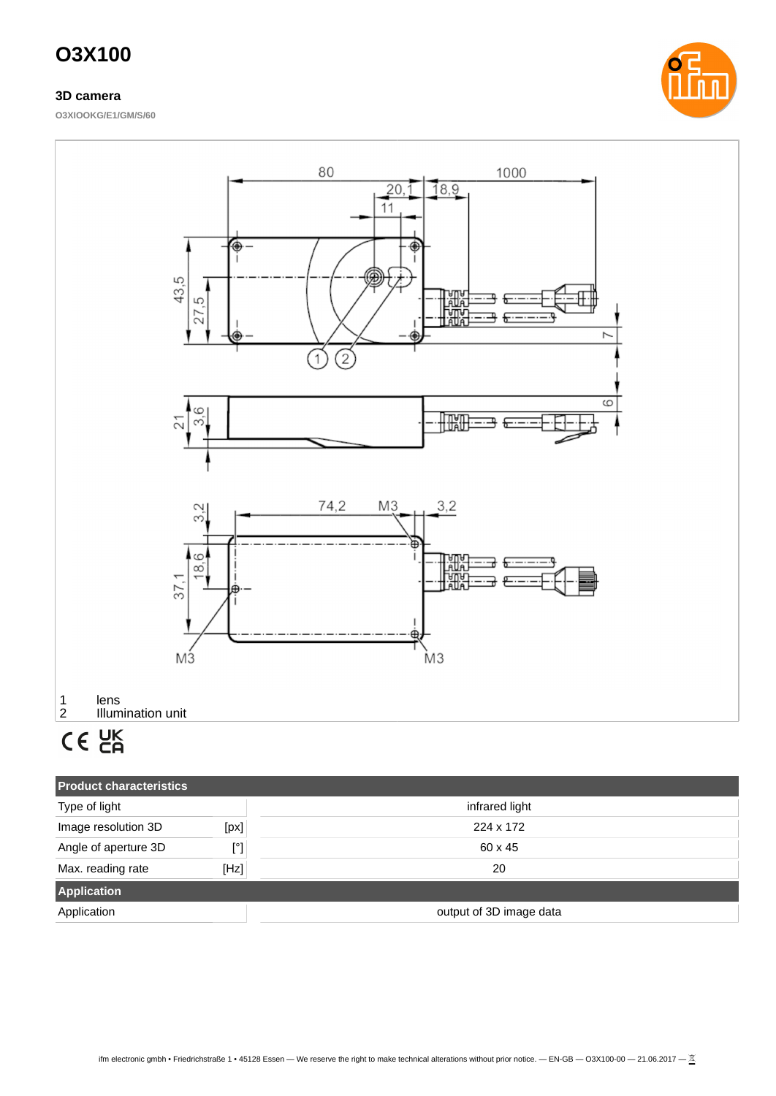### **3D camera**

**O3XIOOKG/E1/GM/S/60**





| <b>Product characteristics</b> |                         |                |  |
|--------------------------------|-------------------------|----------------|--|
| Type of light                  |                         | infrared light |  |
| Image resolution 3D            | [px]                    | 224 x 172      |  |
| Angle of aperture 3D           | $[^{\circ}]$            | 60 x 45        |  |
| Max. reading rate              | [Hz]                    | 20             |  |
| <b>Application</b>             |                         |                |  |
| Application                    | output of 3D image data |                |  |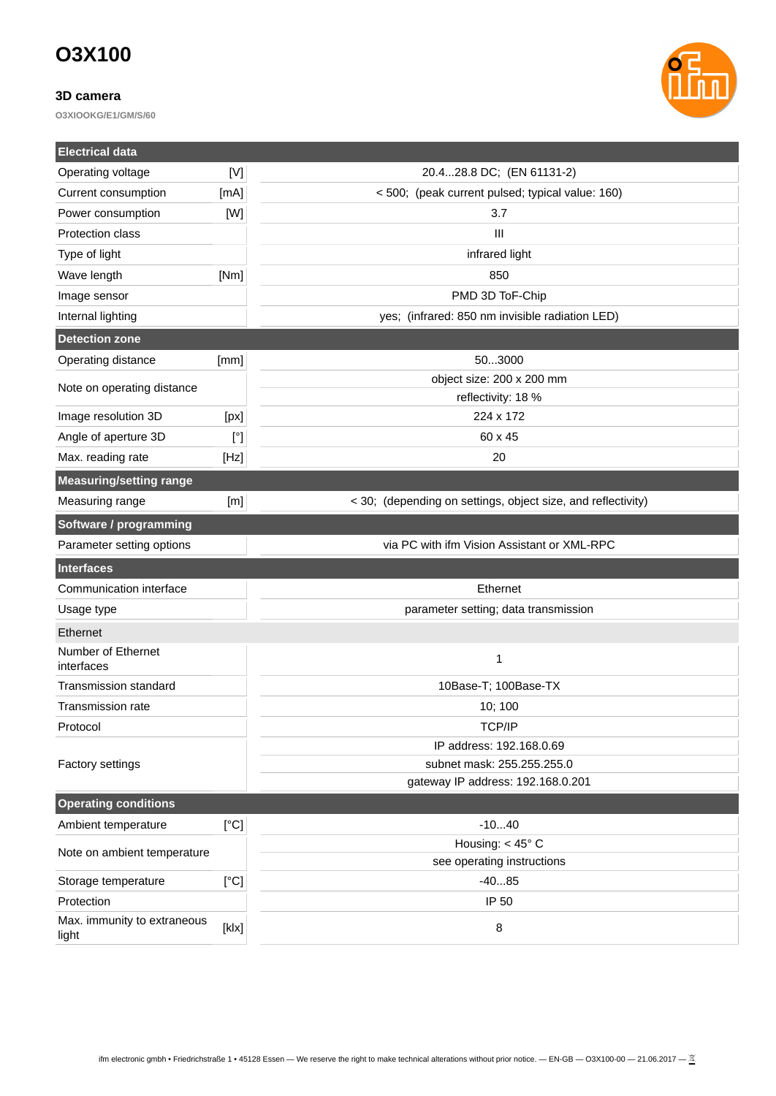### **3D camera**

**O3XIOOKG/E1/GM/S/60**



| <b>Electrical data</b>               |                         |                                                              |  |
|--------------------------------------|-------------------------|--------------------------------------------------------------|--|
| Operating voltage                    | [V]                     | 20.428.8 DC; (EN 61131-2)                                    |  |
| Current consumption                  | [mA]                    | < 500; (peak current pulsed; typical value: 160)             |  |
| Power consumption                    | [W]                     | 3.7                                                          |  |
| Protection class                     |                         | $\mathbf{III}$                                               |  |
| Type of light                        |                         | infrared light                                               |  |
| Wave length                          | [Nm]                    | 850                                                          |  |
| Image sensor                         |                         | PMD 3D ToF-Chip                                              |  |
| Internal lighting                    |                         | yes; (infrared: 850 nm invisible radiation LED)              |  |
| <b>Detection zone</b>                |                         |                                                              |  |
| Operating distance                   | [mm]                    | 503000                                                       |  |
|                                      |                         | object size: 200 x 200 mm                                    |  |
| Note on operating distance           |                         | reflectivity: 18 %                                           |  |
| Image resolution 3D                  | [px]                    | 224 x 172                                                    |  |
| Angle of aperture 3D                 | $[^{\circ}]$<br>60 x 45 |                                                              |  |
| Max. reading rate                    | [Hz]                    | 20                                                           |  |
| <b>Measuring/setting range</b>       |                         |                                                              |  |
| Measuring range                      | [m]                     | < 30; (depending on settings, object size, and reflectivity) |  |
| Software / programming               |                         |                                                              |  |
| Parameter setting options            |                         | via PC with ifm Vision Assistant or XML-RPC                  |  |
| <b>Interfaces</b>                    |                         |                                                              |  |
| Communication interface              |                         | Ethernet                                                     |  |
| Usage type                           |                         | parameter setting; data transmission                         |  |
| Ethernet                             |                         |                                                              |  |
| Number of Ethernet<br>interfaces     |                         | $\mathbf{1}$                                                 |  |
| <b>Transmission standard</b>         |                         | 10Base-T; 100Base-TX                                         |  |
| <b>Transmission rate</b>             |                         | 10; 100                                                      |  |
| Protocol                             |                         | <b>TCP/IP</b>                                                |  |
|                                      |                         | IP address: 192.168.0.69                                     |  |
| <b>Factory settings</b>              |                         | subnet mask: 255.255.255.0                                   |  |
|                                      |                         | gateway IP address: 192.168.0.201                            |  |
| <b>Operating conditions</b>          |                         |                                                              |  |
| Ambient temperature                  | [°C]                    | $-1040$                                                      |  |
| Note on ambient temperature          |                         | Housing: $<$ 45 $^{\circ}$ C                                 |  |
|                                      |                         | see operating instructions                                   |  |
| Storage temperature                  | [°C]                    | $-4085$                                                      |  |
| Protection                           | IP 50                   |                                                              |  |
| Max. immunity to extraneous<br>light | [k x]                   | 8                                                            |  |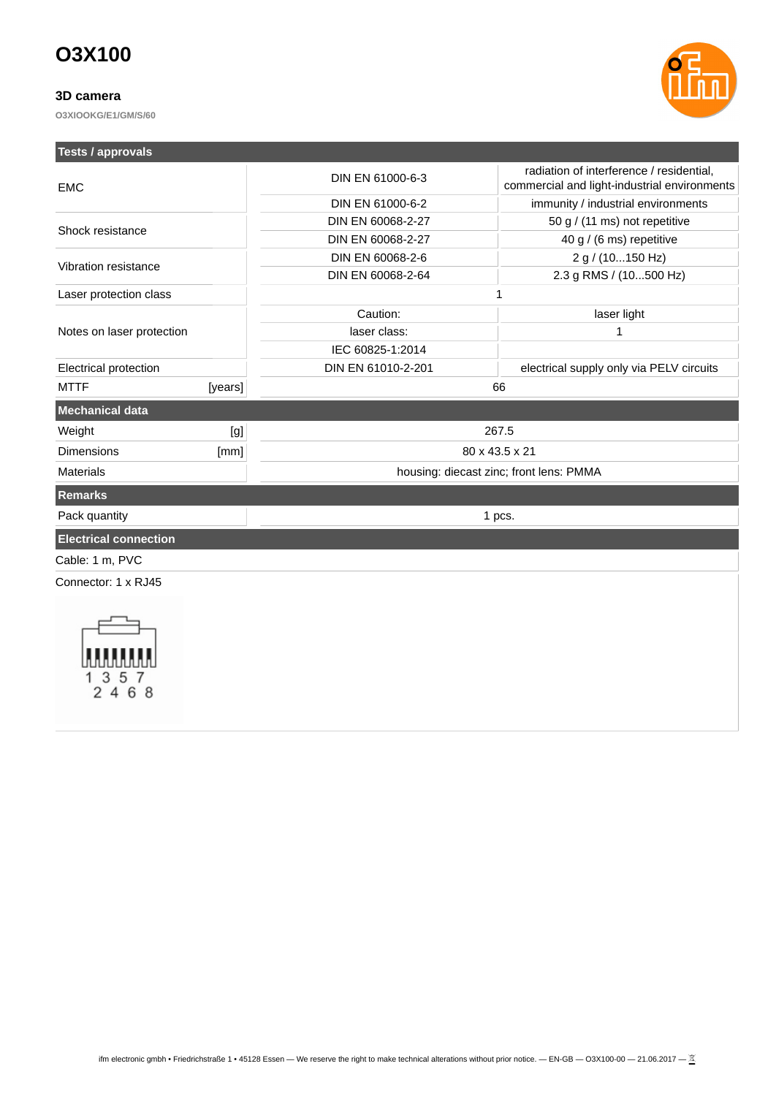### **3D camera**

**O3XIOOKG/E1/GM/S/60**



| <b>Tests / approvals</b>     |         |                    |                                                                                          |  |  |
|------------------------------|---------|--------------------|------------------------------------------------------------------------------------------|--|--|
| <b>EMC</b>                   |         | DIN EN 61000-6-3   | radiation of interference / residential,<br>commercial and light-industrial environments |  |  |
|                              |         | DIN EN 61000-6-2   | immunity / industrial environments                                                       |  |  |
| Shock resistance             |         | DIN EN 60068-2-27  | 50 g / (11 ms) not repetitive                                                            |  |  |
|                              |         | DIN EN 60068-2-27  | 40 g / (6 ms) repetitive                                                                 |  |  |
| Vibration resistance         |         | DIN EN 60068-2-6   | 2 g / (10150 Hz)                                                                         |  |  |
|                              |         | DIN EN 60068-2-64  | 2.3 g RMS / (10500 Hz)                                                                   |  |  |
| Laser protection class       |         | $\mathbf{1}$       |                                                                                          |  |  |
|                              |         | Caution:           | laser light                                                                              |  |  |
| Notes on laser protection    |         | laser class:       | $\mathbf{1}$                                                                             |  |  |
|                              |         | IEC 60825-1:2014   |                                                                                          |  |  |
| Electrical protection        |         | DIN EN 61010-2-201 | electrical supply only via PELV circuits                                                 |  |  |
| <b>MTTF</b>                  | [years] |                    | 66                                                                                       |  |  |
| <b>Mechanical data</b>       |         |                    |                                                                                          |  |  |
| Weight                       | [g]     |                    | 267.5                                                                                    |  |  |
| <b>Dimensions</b>            | [mm]    |                    | 80 x 43.5 x 21                                                                           |  |  |
| <b>Materials</b>             |         |                    | housing: diecast zinc; front lens: PMMA                                                  |  |  |
| <b>Remarks</b>               |         |                    |                                                                                          |  |  |
| Pack quantity                |         |                    | 1 pcs.                                                                                   |  |  |
| <b>Electrical connection</b> |         |                    |                                                                                          |  |  |
| Cable: 1 m, PVC              |         |                    |                                                                                          |  |  |
| Connector: 1 x RJ45          |         |                    |                                                                                          |  |  |
| 4<br>6 8                     |         |                    |                                                                                          |  |  |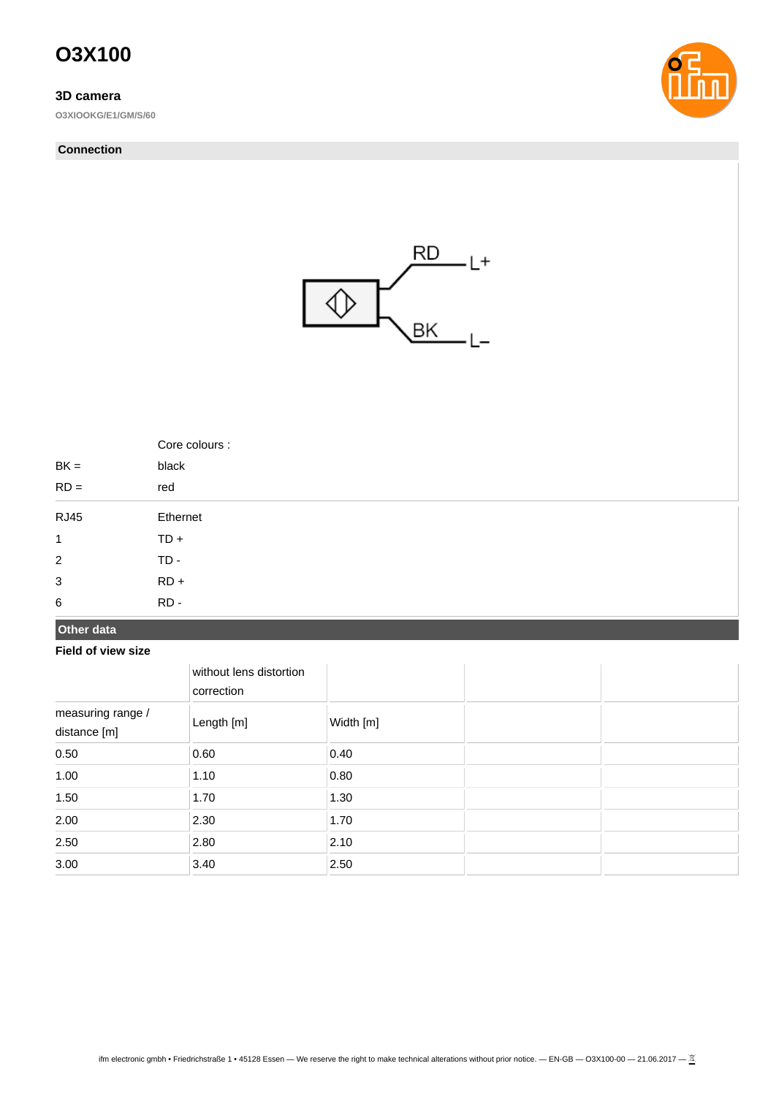### **3D camera**

**O3XIOOKG/E1/GM/S/60**

#### **Connection**





|                | Core colours : |
|----------------|----------------|
| $BK =$         | black          |
| $RD =$         | red            |
| <b>RJ45</b>    | Ethernet       |
| $\mathbf{1}$   | $TD +$         |
| $\overline{2}$ | $TD -$         |
| 3              | $RD +$         |
| $\,6\,$        | $RD -$         |

### **Other data**

#### **Field of view size**

|                                   | without lens distortion<br>correction |           |  |
|-----------------------------------|---------------------------------------|-----------|--|
| measuring range /<br>distance [m] | Length [m]                            | Width [m] |  |
| 0.50                              | 0.60                                  | 0.40      |  |
| 1.00                              | 1.10                                  | 0.80      |  |
| 1.50                              | 1.70                                  | 1.30      |  |
| 2.00                              | 2.30                                  | 1.70      |  |
| 2.50                              | 2.80                                  | 2.10      |  |
| 3.00                              | 3.40                                  | 2.50      |  |